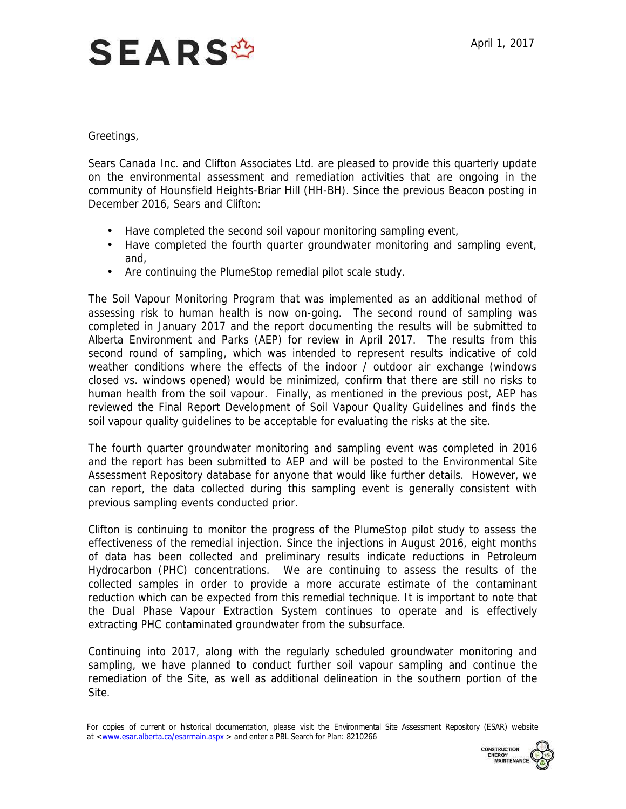## **SEARS<sup>\$</sup>**

Greetings,

 Sears Canada Inc. and Clifton Associates Ltd. are pleased to provide this quarterly update on the environmental assessment and remediation activities that are ongoing in the community of Hounsfield Heights-Briar Hill (HH-BH). Since the previous Beacon posting in December 2016, Sears and Clifton:

- Have completed the second soil vapour monitoring sampling event,
- Have completed the fourth quarter groundwater monitoring and sampling event, and,
- Are continuing the PlumeStop remedial pilot scale study.

 The Soil Vapour Monitoring Program that was implemented as an additional method of assessing risk to human health is now on-going. The second round of sampling was completed in January 2017 and the report documenting the results will be submitted to Alberta Environment and Parks (AEP) for review in April 2017. The results from this second round of sampling, which was intended to represent results indicative of cold weather conditions where the effects of the indoor / outdoor air exchange (windows closed vs. windows opened) would be minimized, confirm that there are still no risks to human health from the soil vapour. Finally, as mentioned in the previous post, AEP has reviewed the Final Report Development of Soil Vapour Quality Guidelines and finds the soil vapour quality guidelines to be acceptable for evaluating the risks at the site.

 The fourth quarter groundwater monitoring and sampling event was completed in 2016 and the report has been submitted to AEP and will be posted to the Environmental Site Assessment Repository database for anyone that would like further details. However, we can report, the data collected during this sampling event is generally consistent with previous sampling events conducted prior.

 Clifton is continuing to monitor the progress of the PlumeStop pilot study to assess the effectiveness of the remedial injection. Since the injections in August 2016, eight months of data has been collected and preliminary results indicate reductions in Petroleum Hydrocarbon (PHC) concentrations. We are continuing to assess the results of the collected samples in order to provide a more accurate estimate of the contaminant reduction which can be expected from this remedial technique. It is important to note that extracting PHC contaminated groundwater from the subsurface. the Dual Phase Vapour Extraction System continues to operate and is effectively

 Continuing into 2017, along with the regularly scheduled groundwater monitoring and sampling, we have planned to conduct further soil vapour sampling and continue the remediation of the Site, as well as additional delineation in the southern portion of the Site.

For copies of current or historical documentation, please visit the Environmental Site Assessment Repository (ESAR) website at [<www.esar.alberta.ca/esarmain.aspx](www.esar.alberta.ca/esarmain.aspx) > and enter a PBL Search for Plan: 8210266